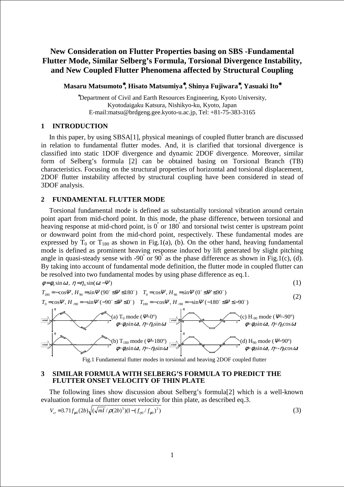# **New Consideration on Flutter Properties basing on SBS -Fundamental Flutter Mode, Similar Selberg's Formula, Torsional Divergence Instability, and New Coupled Flutter Phenomena affected by Structural Coupling**

**Masaru Matsumoto**<sup>∗</sup>**, Hisato Matsumiya**<sup>∗</sup>**, Shinya Fujiwara**<sup>∗</sup>**, Yasuaki Ito**<sup>∗</sup>

<sup>∗</sup>Department of Civil and Earth Resources Engineering, Kyoto University, Kyotodaigaku Katsura, Nishikyo-ku, Kyoto, Japan E-mail:matsu@brdgeng.gee.kyoto-u.ac.jp, Tel: +81-75-383-3165

# **1 INTRODUCTION**

In this paper, by using SBSA[1], physical meanings of coupled flutter branch are discussed in relation to fundamental flutter modes. And, it is clarified that torsional divergence is classified into static 1DOF divergence and dynamic 2DOF divergence. Moreover, similar form of Selberg's formula [2] can be obtained basing on Torsional Branch (TB) characteristics. Focusing on the structural properties of horizontal and torsional displacement, 2DOF flutter instability affected by structural coupling have been considered in stead of 3DOF analysis.

# **2 FUNDAMENTAL FLUTTER MODE**

Torsional fundamental mode is defined as substantially torsional vibration around certain point apart from mid-chord point. In this mode, the phase difference, between torsional and heaving response at mid-chord point, is 0° or 180° and torsional twist center is upstream point or downward point from the mid-chord point, respectively. These fundamental modes are expressed by  $T_0$  or  $T_{180}$  as shown in Fig.1(a), (b). On the other hand, heaving fundamental mode is defined as prominent heaving response induced by lift generated by slight pitching angle in quasi-steady sense with -90° or 90° as the phase difference as shown in Fig.1(c), (d). By taking into account of fundamental mode definition, the flutter mode in coupled flutter can be resolved into two fundamental modes by using phase difference as eq.1.

$$
\phi = \phi_0 \sin \omega t, \ \eta = \eta_0 \sin(\omega t - \Psi) \tag{1}
$$
\n
$$
T_{180} = -\cos \Psi, \ H_{90} = \sin \Psi \left(90^\circ \le \Psi \le 180^\circ\right) \quad T_0 = \cos \Psi, \ H_{90} = \sin \Psi \left(0^\circ \le \Psi \le 90^\circ\right) \tag{2}
$$

$$
T_{180} = -\cos\Psi, H_{90} = \sin\Psi (90^\circ \le \Psi \le 180^\circ) \quad T_0 = \cos\Psi, H_{90} = \sin\Psi (0^\circ \le \Psi \le 90^\circ)
$$
  
\n
$$
T_0 = \cos\Psi, H_{-90} = -\sin\Psi (-90^\circ \le \Psi \le 0^\circ) \quad T_{180} = -\cos\Psi, H_{-90} = -\sin\Psi (-180^\circ \le \Psi \le -90^\circ)
$$
\n(2)



Fig.1 Fundamental flutter modes in torsional and heaving 2DOF coupled flutter

## **3 SIMILAR FORMULA WITH SELBERG'S FORMULA TO PREDICT THE FLUTTER ONSET VELOCITY OF THIN PLATE**

The following lines show discussion about Selberg's formula[2] which is a well-known evaluation formula of flutter onset velocity for thin plate, as described eq.3.

$$
V_{cr} = 3.71 f_{\phi 0} (2b) \sqrt{(\sqrt{ml} / \rho(2b)^3)(1 - (f_{\eta 0} / f_{\phi 0})^2)}
$$
 (3)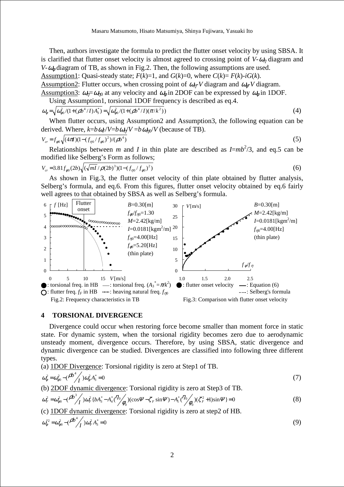Then, authors investigate the formula to predict the flutter onset velocity by using SBSA. It is clarified that flutter onset velocity is almost agreed to crossing point of  $V-\omega_n$  diagram and *V*- $\omega_{\phi}$  diagram of TB, as shown in Fig.2. Then, the following assumptions are used. Assumption1: Quasi-steady state;  $F(k)=1$ , and  $G(k)=0$ , where  $C(k)=F(k)-iG(k)$ .

Assumption2: Flutter occurs, when crossing point of  $\omega_{n}$ -*V* diagram and  $\omega_{\phi}$ -*V* diagram. Assumption3:  $\omega_p = \omega_{p0}$  at any velocity and  $\omega_\phi$  in 2DOF can be expressed by  $\omega_\phi$  in 1DOF.

Using Assumption1, torsional 1DOF frequency is described as eq.4.

$$
\omega_{\phi} = \sqrt{\omega_{\phi 0}^2 / (1 + (\rho b^4 / I) A_3^*)} = \sqrt{\omega_{\phi 0}^2 / (1 + (\rho b^4 / I) (\pi / k^2))}
$$
(4)

When flutter occurs, using Assumption2 and Assumption3, the following equation can be derived. Where,  $k = b \omega_F / V = b \omega_n / V = b \omega_{n0} / V$  (because of TB).

4( )(1 ( / ) /() ) 2 4 <sup>0</sup> <sup>0</sup> <sup>0</sup> *V f I f f b cr* = <sup>φ</sup> <sup>π</sup> − <sup>η</sup> <sup>φ</sup> <sup>ρ</sup> (5)

Relationships between *m* and *I* in thin plate are described as  $I = mb^2/3$ , and eq.5 can be modified like Selberg's Form as follows;

$$
V_{cr} = 3.81 f_{\phi 0} (2b) \sqrt{(\sqrt{ml} / \rho (2b)^3)(1 - (f_{\eta 0} / f_{\phi 0})^2)}
$$
(6)

As shown in Fig.3, the flutter onset velocity of thin plate obtained by flutter analysis, Selberg's formula, and eq.6. From this figures, flutter onset velocity obtained by eq.6 fairly well agrees to that obtained by SBSA as well as Selberg's formula.



#### **4 TORSIONAL DIVERGENCE**

Divergence could occur when restoring force become smaller than moment force in static state. For dynamic system, when the torsional rigidity becomes zero due to aerodynamic unsteady moment, divergence occurs. Therefore, by using SBSA, static divergence and dynamic divergence can be studied. Divergences are classified into following three different types.

(a) 1DOF Divergence: Torsional rigidity is zero at Step1 of TB.

$$
\omega_{\phi}^2 = \omega_{\phi 0}^2 - (\rho b^4 / \rho) \omega_{\phi}^2 A_3^* = 0 \tag{7}
$$

(b) 2DOF dynamic divergence: Torsional rigidity is zero at Step3 of TB.

$$
\omega_F^2 = \omega_{\phi 0}^2 - (\frac{\rho b^3}{I})\omega_F^2 \{ bA_3^* - A_4^* \left( \frac{\eta_0}{\phi_0} \right) (\cos \Psi - \zeta_F \sin \Psi) - A_1^* \left( \frac{\eta_0}{\phi_0} \right) (\zeta_F^2 + 1) \sin \Psi \} = 0
$$
\n(8)

(c) 1DOF dynamic divergence: Torsional rigidity is zero at step2 of HB.

$$
\omega_{\phi}^{*2} = \omega_{\phi 0}^2 - (\rho b^4 / \rho) \omega_F^2 A_3^* = 0
$$
 (9)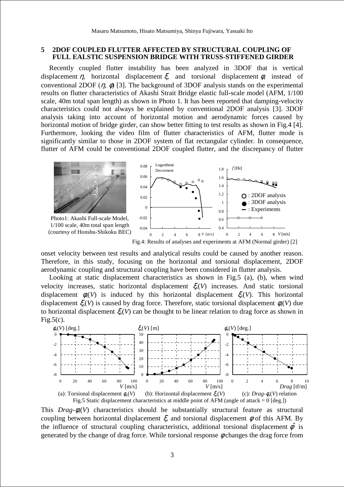## **5 2DOF COUPLED FLUTTER AFFECTED BY STRUCTURAL COUPLING OF FULL EALSTIC SUSPENSION BRIDGE WITH TRUSS-STIFFENED GIRDER**

Recently coupled flutter instability has been analyzed in 3DOF that is vertical displacement  $\eta$ , horizontal displacement  $\xi$ , and torsional displacement  $\phi$ , instead of conventional 2DOF  $(\eta, \phi)$  [3]. The background of 3DOF analysis stands on the experimental results on flutter characteristics of Akashi Strait Bridge elastic full-scale model (AFM, 1/100 scale, 40m total span length) as shown in Photo 1. It has been reported that damping-velocity characteristics could not always be explained by conventional 2DOF analysis [3]. 3DOF analysis taking into account of horizontal motion and aerodynamic forces caused by horizontal motion of bridge girder, can show better fitting to test results as shown in Fig.4 [4]. Furthermore, looking the video film of flutter characteristics of AFM, flutter mode is significantly similar to those in 2DOF system of flat rectangular cylinder. In consequence, flutter of AFM could be conventional 2DOF coupled flutter, and the discrepancy of flutter



onset velocity between test results and analytical results could be caused by another reason. Therefore, in this study, focusing on the horizontal and torsional displacement, 2DOF aerodynamic coupling and structural coupling have been considered in flutter analysis.

Looking at static displacement characteristics as shown in Fig.5 (a), (b), when wind velocity increases, static horizontal displacement ξs(*V*) increases. And static torsional displacement  $\phi_s(V)$  is induced by this horizontal displacement  $\xi_s(V)$ . This horizontal displacement  $\xi_s(V)$  is caused by drag force. Therefore, static torsional displacement  $\phi_s(V)$  due to horizontal displacement  $\xi(V)$  can be thought to be linear relation to drag force as shown in  $Fig.5(c)$ .



This  $Drag-\phi_s(V)$  characteristics should be substantially structural feature as structural coupling between horizontal displacement  $\xi$ , and torsional displacement  $\phi$  of this AFM. By the influence of structural coupling characteristics, additional torsional displacement  $\phi^*$  is generated by the change of drag force. While torsional response  $\phi$  changes the drag force from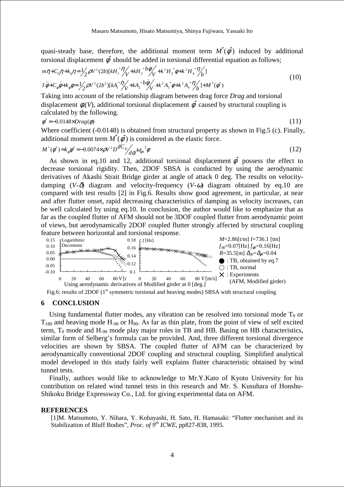quasi-steady base, therefore, the additional moment term  $M^*(\phi^*)$  induced by additional torsional displacement  $\phi^*$  should be added in torsional differential equation as follows;

$$
m\ddot{\eta} + C_{\eta}\dot{\eta} + k_{\eta}\eta = \frac{1}{2}\rho V^2 (2b)[kH_1^* \dot{\eta} + kH_2^* \dot{\theta} + k^2 H_3^* \dot{\phi} + k^2 H_4^* \dot{\eta} + k^2 H_5^* \dot{\phi} + k^2 H_6^* \dot{\eta} + K^2 \dot{\phi} + k^2 \dot{\phi} + k^2 \dot{\phi} + k^2 \dot{\phi} + k^2 \dot{\phi} + k^2 H_6^* \dot{\phi} + k^2 H_7^* \dot{\eta} + k^2 H_8^* \dot{\phi} + k^2 H_9^* \dot{\eta} + k^2 H_9^* \dot{\eta} + k^2 H_9^* \dot{\eta} + k^2 H_9^* \dot{\eta} + k^2 H_9^* \dot{\eta} + k^2 H_9^* \dot{\eta} + k^2 H_9^* \dot{\eta} + k^2 H_9^* \dot{\eta} + k^2 H_9^* \dot{\eta} + k^2 H_9^* \dot{\eta} + k^2 H_9^* \dot{\eta} + k^2 H_9^* \dot{\eta} + k^2 H_9^* \dot{\eta} + k^2 H_9^* \dot{\eta} + k^2 H_9^* \dot{\eta} + k^2 H_9^* \dot{\eta} + k^2 H_9^* \dot{\eta} + k^2 H_9^* \dot{\eta} + k^2 H_9^* \dot{\eta} + k^2 H_9^* \dot{\eta} + k^2 H_9^* \dot{\eta} + k^2 H_9^* \dot{\eta} + k^2 H_9^* \dot{\eta} + k^2 H_9^* \dot{\eta} + k^2 H_9^* \dot{\eta} + k^2 H_9^* \dot{\eta} + k^2 H_9^* \dot{\eta} + k^2 H_9^* \dot{\eta} + k^2 H_9^* \dot{\eta} + k^2 H_9^* \dot{\eta} + k^2 H_9^* \dot{\eta} + k^2 H_9^* \dot{\eta} + k^2 H_9^* \dot{\eta} + k^2 H_9^* \dot{\eta} + k^2 H_9^* \dot{\eta} + k^2 H_9^* \dot{\eta} + k^2 H_9^* \dot{\eta} + k^2 H_9^* \dot{\eta} + k^2 H_9^* \dot{\eta} + k^2 H_9
$$

Taking into account of the relationship diagram between drag force *Drag* and torsional displacement  $\phi_s(V)$ , additional torsional displacement  $\dot{\phi}^*$  caused by structural coupling is calculated by the following.

$$
\phi^* = -0.0148 \times Drag(\phi) \tag{11}
$$

$$
(11)
$$

Where coefficient (-0.0148) is obtained from structural property as shown in Fig.5 (c). Finally, additional moment term  $M^*(\phi^*)$  is considered as the elastic force.

$$
M^*(\phi^*) = k_{\phi}\phi^* = -0.0074 \times \rho V^2 D \frac{dC_D}{d\alpha} \omega_{\phi 0}^2 \phi
$$
\n(12)

As shown in eq.10 and 12, additional torsional displacement  $\phi^*$  possess the effect to decrease torsional rigidity. Then, 2DOF SBSA is conducted by using the aerodynamic derivatives of Akashi Strait Bridge girder at angle of attack 0 deg. The results on velocitydamping  $(V-\delta)$  diagram and velocity-frequency  $(V-\omega)$  diagram obtained by eq.10 are compared with test results [2] in Fig.6. Results show good agreement, in particular, at near and after flutter onset, rapid decreasing characteristics of damping as velocity increases, can be well calculated by using eq.10. In conclusion, the author would like to emphasize that as far as the coupled flutter of AFM should not be 3DOF coupled flutter from aerodynamic point of views, but aerodynamically 2DOF coupled flutter strongly affected by structural coupling feature between horizontal and torsional response.



Fig.6: results of 2DOF  $(1<sup>st</sup>$  symmetric torsional and heaving modes) SBSA with structural coupling

## **6 CONCLUSION**

Using fundamental flutter modes, any vibration can be resolved into torsional mode  $T_0$  or  $T_{180}$  and heaving mode H<sub>-90</sub> or H<sub>90</sub>. As far as thin plate, from the point of view of self excited term,  $T_0$  mode and H<sub>-90</sub> mode play major roles in TB and HB. Basing on HB characteristics, similar form of Selberg's formula can be provided. And, three different torsional divergence velocities are shown by SBSA. The coupled flutter of AFM can be characterized by aerodynamically conventional 2DOF coupling and structural coupling. Simplified analytical model developed in this study fairly well explains flutter characteristic obtained by wind tunnel tests.

Finally, authors would like to acknowledge to Mr.Y.Kato of Kyoto University for his contribution on related wind tunnel tests in this research and Mr. S. Kusuhara of Honshu-Shikoku Bridge Expressway Co., Ltd. for giving experimental data on AFM.

#### **REFERENCES**

[1]M. Matsumoto, Y. Nihara, Y. Kobayashi, H. Sato, H. Hamasaki: "Flutter mechanism and its Stabilization of Bluff Bodies", *Proc. of 9th ICWE*, pp827-838, 1995.